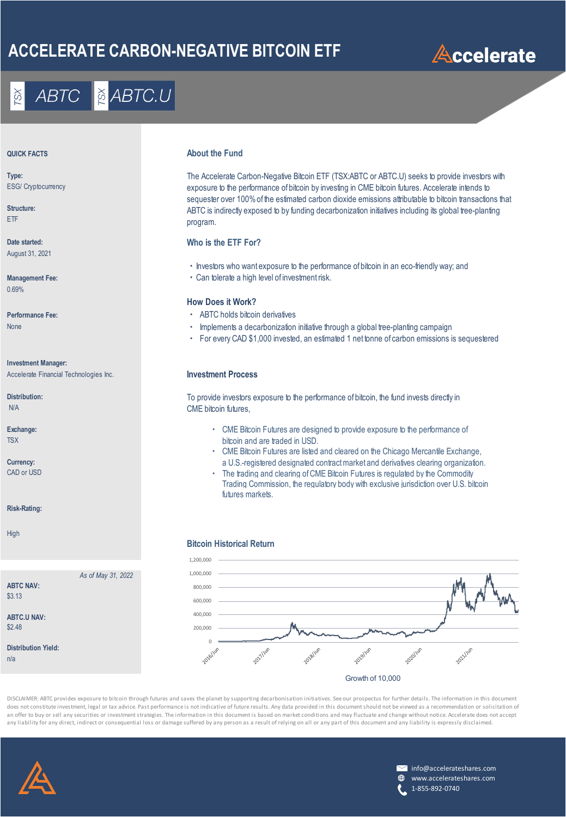## **ACCELERATE CARBON-NEGATIVE BITCOIN ETF**

# **Accelerate**

## **& ABTC.U ABTC**

**Type:** ESG/ Cryptocurrency

**Structure:** ETF

August 31, 2021

**Management Fee:** 0.69%

**Investment Manager:**

Accelerate Financial Technologies Inc. **Investment Process**

*As of May 31, 2022*

N/A

**Risk-Rating:**

**ABTC NAV:** \$3.13

**ABTC.U NAV:** \$2.48

n/a

**Distribution Yield:**

High

### **About the Fund**<br> **About the Fund**

The Accelerate Carbon-Negative Bitcoin ETF (TSX:ABTC or ABTC.U) seeks to provide investors with exposure to the performance of bitcoin by investing in CME bitcoin futures. Accelerate intends to sequester over 100% of the estimated carbon dioxide emissions attributable to bitcoin transactions that ABTC is indirectly exposed to by funding decarbonization initiatives including its global tree-planting program.

### **Date started: Who is the ETF For?**

- ・Investors who want exposure to the performance of bitcoin in an eco-friendly way; and
- ・Can tolerate a high level of investment risk.

### **How Does it Work?**

- Performance Fee: **ABTC holds bitcoin derivatives Performance Fee:** ABTC holds bitcoin derivatives
- None **intervalse and the intervalse of the implements a decarbonization initiative through a global tree-planting campaign and the intervalse of the intervalse of the intervalse of the intervalse of the intervalse of the i** 
	- ・ For every CAD \$1,000 invested, an estimated 1 net tonne of carbon emissions is sequestered

Distribution: To provide investors exposure to the performance of bitcoin, the fund invests directly in CME bitcoin futures,

- **Exchange:**  $\blacksquare$  **Exchange:**  $\blacksquare$  **Exchange:**  $\blacksquare$  **Exchange:**  $\blacksquare$  **Exposure to the performance of** TSX **bitcoin and are traded in USD. bitcoin and are traded in USD.**
- ・ CME Bitcoin Futures are listed and cleared on the Chicago Mercantile Exchange, **Currency:** a U.S.-registered designated contract market and derivatives clearing organization.<br>CAD or USD can be a commodial contract market and clearing of CME Bitcoin Futures is requisted by the Commodial
	- The trading and clearing of CME Bitcoin Futures is regulated by the Commodity Trading Commission, the regulatory body with exclusive jurisdiction over U.S. bitcoin futures markets.

### **Bitcoin Historical Return**



DISCLAIMER: ABTC provides exposure to bitcoin through futures and saves the planet by supporting decarbonisation initiatives. See our prospectus for further details. The information in this document does not constitute investment, legal or tax advice. Past performance is not indicative of future results. Any data provided in this document should not be viewed as a recommendation or solicitation of an offer to buy or sell any securities or investment strategies. The information in this document is based on market conditions and may fluctuate and change without notice. Accelerate does not accept any liability for any direct, indirect or consequential loss or damage suffered by any person as a result of relying on all or any part of this document and any liability is expressly disclaimed.